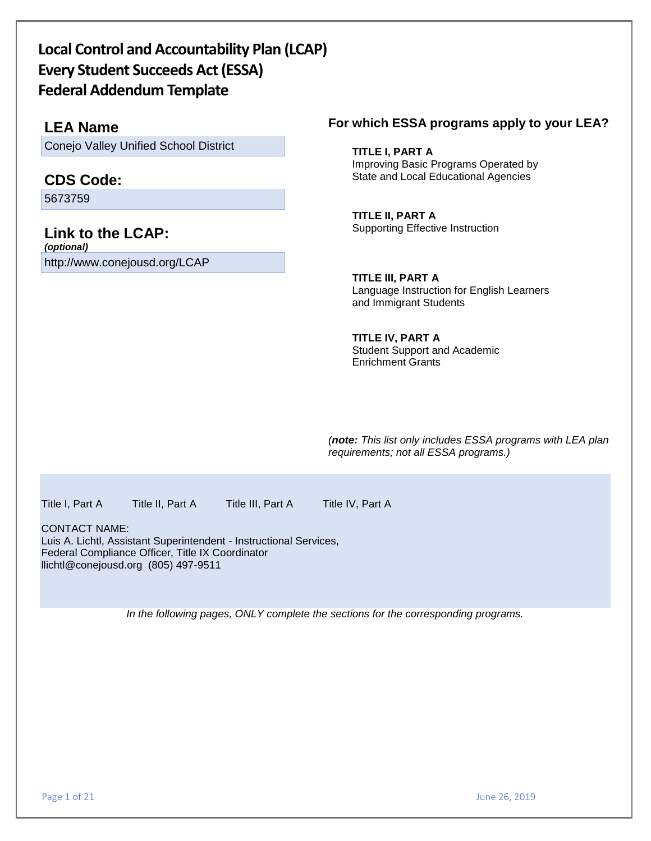# **Local Control and Accountability Plan (LCAP) Every Student Succeeds Act (ESSA) Federal Addendum Template**

# **LEA Name**

Conejo Valley Unified School District

# **CDS Code:**

5673759

## **Link to the LCAP:** *(optional)*

http://www.conejousd.org/LCAP

# **For which ESSA programs apply to your LEA?**

X **TITLE I, PART A** Improving Basic Programs Operated by State and Local Educational Agencies

X **TITLE II, PART A** Supporting Effective Instruction

X **TITLE III, PART A**  Language Instruction for English Learners and Immigrant Students

**TITLE IV, PART A** Student Support and Academic Enrichment Grants

*(note: This list only includes ESSA programs with LEA plan requirements; not all ESSA programs.)*

Title I, Part A Title II, Part A Title III, Part A Title IV, Part A

CONTACT NAME: Luis A. Lichtl, Assistant Superintendent - Instructional Services, Federal Compliance Officer, Title IX Coordinator llichtl@conejousd.org (805) 497-9511

*In the following pages, ONLY complete the sections for the corresponding programs.*

Page 1 of 21 June 26, 2019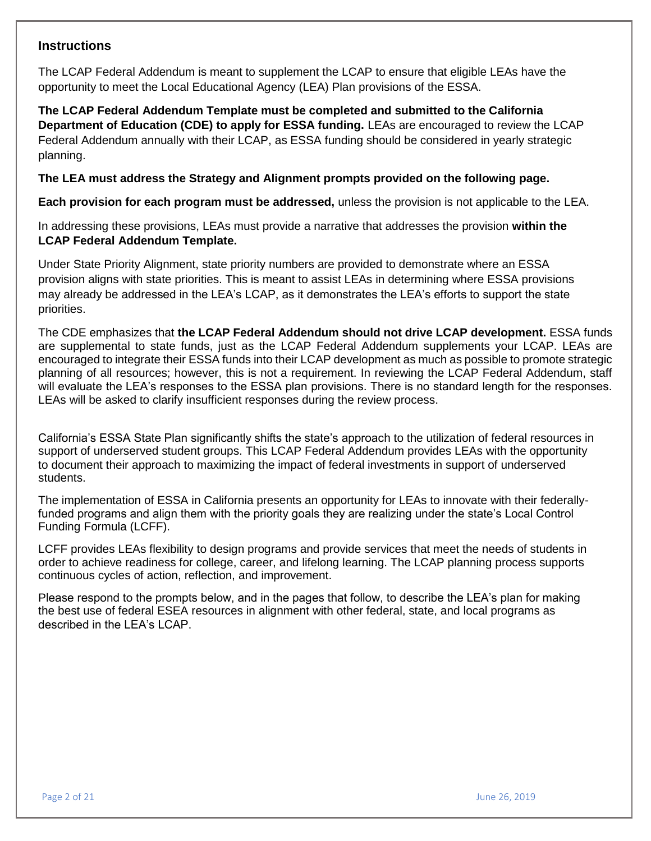# **Instructions**

The LCAP Federal Addendum is meant to supplement the LCAP to ensure that eligible LEAs have the opportunity to meet the Local Educational Agency (LEA) Plan provisions of the ESSA.

**The LCAP Federal Addendum Template must be completed and submitted to the California Department of Education (CDE) to apply for ESSA funding.** LEAs are encouraged to review the LCAP Federal Addendum annually with their LCAP, as ESSA funding should be considered in yearly strategic planning.

**The LEA must address the Strategy and Alignment prompts provided on the following page.** 

**Each provision for each program must be addressed,** unless the provision is not applicable to the LEA.

In addressing these provisions, LEAs must provide a narrative that addresses the provision **within the LCAP Federal Addendum Template.**

Under State Priority Alignment, state priority numbers are provided to demonstrate where an ESSA provision aligns with state priorities. This is meant to assist LEAs in determining where ESSA provisions may already be addressed in the LEA's LCAP, as it demonstrates the LEA's efforts to support the state priorities.

The CDE emphasizes that **the LCAP Federal Addendum should not drive LCAP development.** ESSA funds are supplemental to state funds, just as the LCAP Federal Addendum supplements your LCAP. LEAs are encouraged to integrate their ESSA funds into their LCAP development as much as possible to promote strategic planning of all resources; however, this is not a requirement. In reviewing the LCAP Federal Addendum, staff will evaluate the LEA's responses to the ESSA plan provisions. There is no standard length for the responses. LEAs will be asked to clarify insufficient responses during the review process.

California's ESSA State Plan significantly shifts the state's approach to the utilization of federal resources in support of underserved student groups. This LCAP Federal Addendum provides LEAs with the opportunity to document their approach to maximizing the impact of federal investments in support of underserved students.

The implementation of ESSA in California presents an opportunity for LEAs to innovate with their federallyfunded programs and align them with the priority goals they are realizing under the state's Local Control Funding Formula (LCFF).

LCFF provides LEAs flexibility to design programs and provide services that meet the needs of students in order to achieve readiness for college, career, and lifelong learning. The LCAP planning process supports continuous cycles of action, reflection, and improvement.

Please respond to the prompts below, and in the pages that follow, to describe the LEA's plan for making the best use of federal ESEA resources in alignment with other federal, state, and local programs as described in the LEA's LCAP.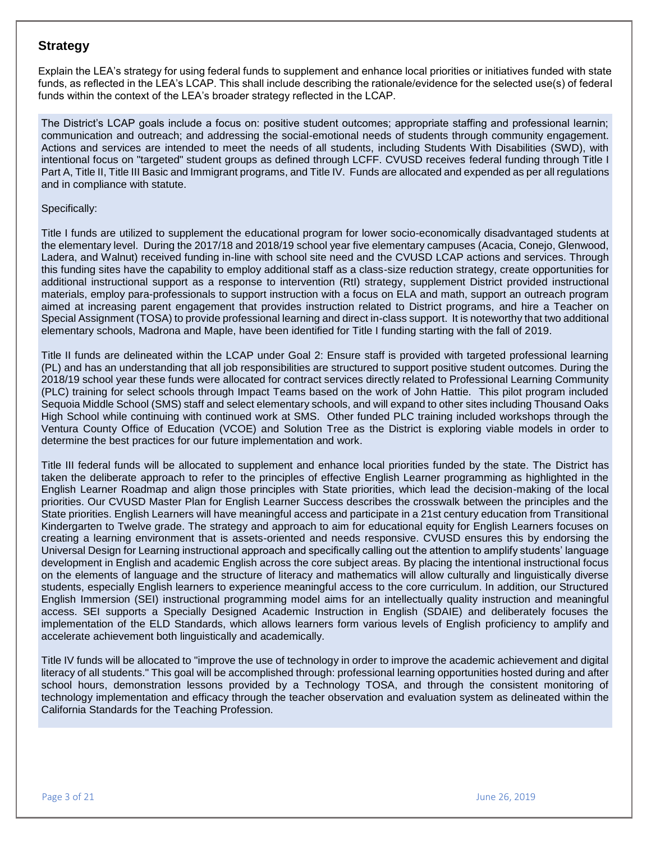# **Strategy**

Explain the LEA's strategy for using federal funds to supplement and enhance local priorities or initiatives funded with state funds, as reflected in the LEA's LCAP. This shall include describing the rationale/evidence for the selected use(s) of federal funds within the context of the LEA's broader strategy reflected in the LCAP.

The District's LCAP goals include a focus on: positive student outcomes; appropriate staffing and professional learnin; communication and outreach; and addressing the social-emotional needs of students through community engagement. Actions and services are intended to meet the needs of all students, including Students With Disabilities (SWD), with intentional focus on "targeted" student groups as defined through LCFF. CVUSD receives federal funding through Title I Part A, Title II, Title III Basic and Immigrant programs, and Title IV. Funds are allocated and expended as per all regulations and in compliance with statute.

#### Specifically:

Title I funds are utilized to supplement the educational program for lower socio-economically disadvantaged students at the elementary level. During the 2017/18 and 2018/19 school year five elementary campuses (Acacia, Conejo, Glenwood, Ladera, and Walnut) received funding in-line with school site need and the CVUSD LCAP actions and services. Through this funding sites have the capability to employ additional staff as a class-size reduction strategy, create opportunities for additional instructional support as a response to intervention (RtI) strategy, supplement District provided instructional materials, employ para-professionals to support instruction with a focus on ELA and math, support an outreach program aimed at increasing parent engagement that provides instruction related to District programs, and hire a Teacher on Special Assignment (TOSA) to provide professional learning and direct in-class support. It is noteworthy that two additional elementary schools, Madrona and Maple, have been identified for Title I funding starting with the fall of 2019.

Title II funds are delineated within the LCAP under Goal 2: Ensure staff is provided with targeted professional learning (PL) and has an understanding that all job responsibilities are structured to support positive student outcomes. During the 2018/19 school year these funds were allocated for contract services directly related to Professional Learning Community (PLC) training for select schools through Impact Teams based on the work of John Hattie. This pilot program included Sequoia Middle School (SMS) staff and select elementary schools, and will expand to other sites including Thousand Oaks High School while continuing with continued work at SMS. Other funded PLC training included workshops through the Ventura County Office of Education (VCOE) and Solution Tree as the District is exploring viable models in order to determine the best practices for our future implementation and work.

Title III federal funds will be allocated to supplement and enhance local priorities funded by the state. The District has taken the deliberate approach to refer to the principles of effective English Learner programming as highlighted in the English Learner Roadmap and align those principles with State priorities, which lead the decision-making of the local priorities. Our CVUSD Master Plan for English Learner Success describes the crosswalk between the principles and the State priorities. English Learners will have meaningful access and participate in a 21st century education from Transitional Kindergarten to Twelve grade. The strategy and approach to aim for educational equity for English Learners focuses on creating a learning environment that is assets-oriented and needs responsive. CVUSD ensures this by endorsing the Universal Design for Learning instructional approach and specifically calling out the attention to amplify students' language development in English and academic English across the core subject areas. By placing the intentional instructional focus on the elements of language and the structure of literacy and mathematics will allow culturally and linguistically diverse students, especially English learners to experience meaningful access to the core curriculum. In addition, our Structured English Immersion (SEI) instructional programming model aims for an intellectually quality instruction and meaningful access. SEI supports a Specially Designed Academic Instruction in English (SDAIE) and deliberately focuses the implementation of the ELD Standards, which allows learners form various levels of English proficiency to amplify and accelerate achievement both linguistically and academically.

Title IV funds will be allocated to "improve the use of technology in order to improve the academic achievement and digital literacy of all students." This goal will be accomplished through: professional learning opportunities hosted during and after school hours, demonstration lessons provided by a Technology TOSA, and through the consistent monitoring of technology implementation and efficacy through the teacher observation and evaluation system as delineated within the California Standards for the Teaching Profession.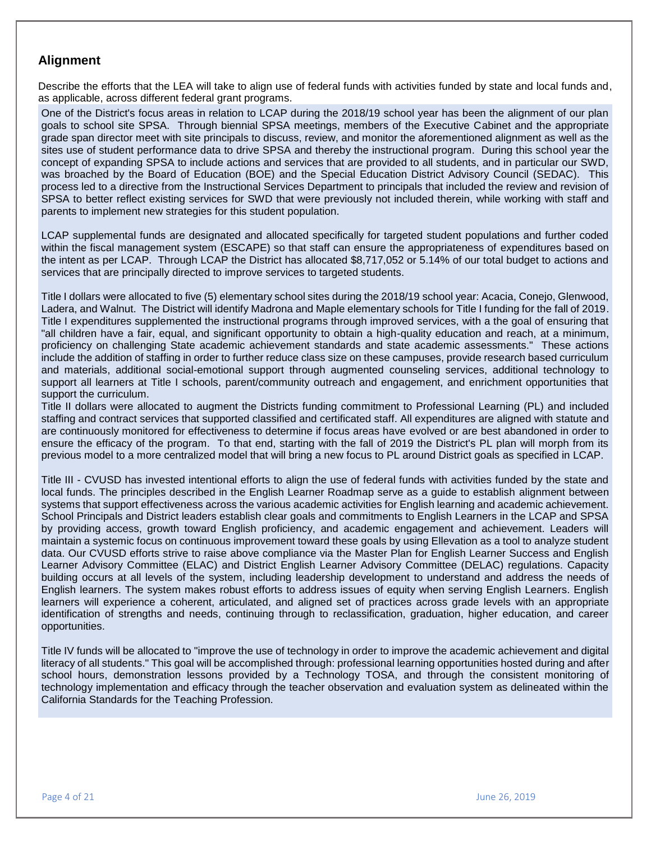# **Alignment**

Describe the efforts that the LEA will take to align use of federal funds with activities funded by state and local funds and, as applicable, across different federal grant programs.

One of the District's focus areas in relation to LCAP during the 2018/19 school year has been the alignment of our plan goals to school site SPSA. Through biennial SPSA meetings, members of the Executive Cabinet and the appropriate grade span director meet with site principals to discuss, review, and monitor the aforementioned alignment as well as the sites use of student performance data to drive SPSA and thereby the instructional program. During this school year the concept of expanding SPSA to include actions and services that are provided to all students, and in particular our SWD, was broached by the Board of Education (BOE) and the Special Education District Advisory Council (SEDAC). This process led to a directive from the Instructional Services Department to principals that included the review and revision of SPSA to better reflect existing services for SWD that were previously not included therein, while working with staff and parents to implement new strategies for this student population.

LCAP supplemental funds are designated and allocated specifically for targeted student populations and further coded within the fiscal management system (ESCAPE) so that staff can ensure the appropriateness of expenditures based on the intent as per LCAP. Through LCAP the District has allocated \$8,717,052 or 5.14% of our total budget to actions and services that are principally directed to improve services to targeted students.

Title I dollars were allocated to five (5) elementary school sites during the 2018/19 school year: Acacia, Conejo, Glenwood, Ladera, and Walnut. The District will identify Madrona and Maple elementary schools for Title I funding for the fall of 2019. Title I expenditures supplemented the instructional programs through improved services, with a the goal of ensuring that "all children have a fair, equal, and significant opportunity to obtain a high-quality education and reach, at a minimum, proficiency on challenging State academic achievement standards and state academic assessments." These actions include the addition of staffing in order to further reduce class size on these campuses, provide research based curriculum and materials, additional social-emotional support through augmented counseling services, additional technology to support all learners at Title I schools, parent/community outreach and engagement, and enrichment opportunities that support the curriculum.

Title II dollars were allocated to augment the Districts funding commitment to Professional Learning (PL) and included staffing and contract services that supported classified and certificated staff. All expenditures are aligned with statute and are continuously monitored for effectiveness to determine if focus areas have evolved or are best abandoned in order to ensure the efficacy of the program. To that end, starting with the fall of 2019 the District's PL plan will morph from its previous model to a more centralized model that will bring a new focus to PL around District goals as specified in LCAP.

Title III - CVUSD has invested intentional efforts to align the use of federal funds with activities funded by the state and local funds. The principles described in the English Learner Roadmap serve as a guide to establish alignment between systems that support effectiveness across the various academic activities for English learning and academic achievement. School Principals and District leaders establish clear goals and commitments to English Learners in the LCAP and SPSA by providing access, growth toward English proficiency, and academic engagement and achievement. Leaders will maintain a systemic focus on continuous improvement toward these goals by using Ellevation as a tool to analyze student data. Our CVUSD efforts strive to raise above compliance via the Master Plan for English Learner Success and English Learner Advisory Committee (ELAC) and District English Learner Advisory Committee (DELAC) regulations. Capacity building occurs at all levels of the system, including leadership development to understand and address the needs of English learners. The system makes robust efforts to address issues of equity when serving English Learners. English learners will experience a coherent, articulated, and aligned set of practices across grade levels with an appropriate identification of strengths and needs, continuing through to reclassification, graduation, higher education, and career opportunities.

Title IV funds will be allocated to "improve the use of technology in order to improve the academic achievement and digital literacy of all students." This goal will be accomplished through: professional learning opportunities hosted during and after school hours, demonstration lessons provided by a Technology TOSA, and through the consistent monitoring of technology implementation and efficacy through the teacher observation and evaluation system as delineated within the California Standards for the Teaching Profession.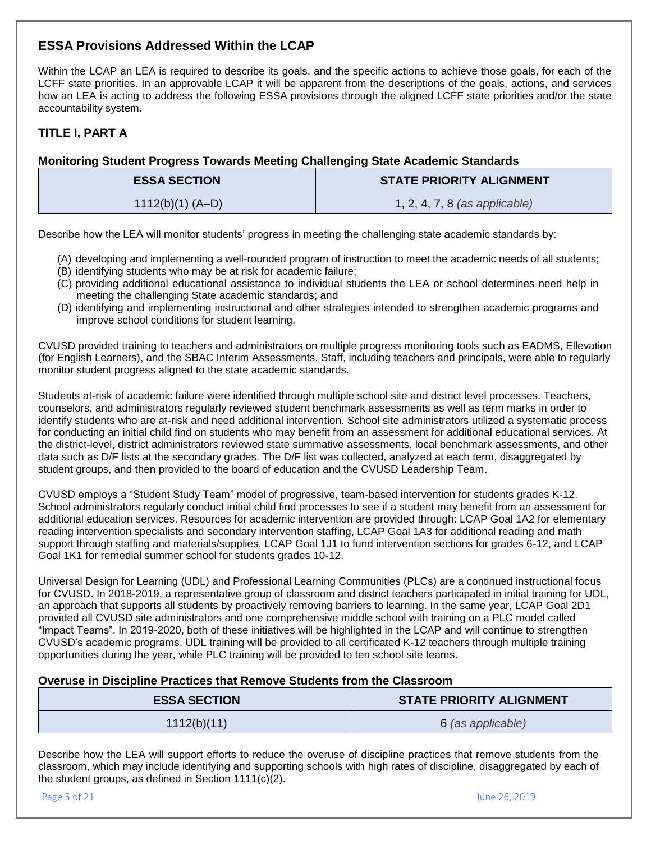# **ESSA Provisions Addressed Within the LCAP**

Within the LCAP an LEA is required to describe its goals, and the specific actions to achieve those goals, for each of the LCFF state priorities. In an approvable LCAP it will be apparent from the descriptions of the goals, actions, and services how an LEA is acting to address the following ESSA provisions through the aligned LCFF state priorities and/or the state accountability system.

# **TITLE I, PART A**

# **Monitoring Student Progress Towards Meeting Challenging State Academic Standards**

| <b>ESSA SECTION</b> | <b>STATE PRIORITY ALIGNMENT</b> |
|---------------------|---------------------------------|
| $1112(b)(1) (A-D)$  | 1, 2, 4, 7, 8 (as applicable)   |

Describe how the LEA will monitor students' progress in meeting the challenging state academic standards by:

- (A) developing and implementing a well-rounded program of instruction to meet the academic needs of all students;
- (B) identifying students who may be at risk for academic failure;
- (C) providing additional educational assistance to individual students the LEA or school determines need help in meeting the challenging State academic standards; and
- (D) identifying and implementing instructional and other strategies intended to strengthen academic programs and improve school conditions for student learning.

CVUSD provided training to teachers and administrators on multiple progress monitoring tools such as EADMS, Ellevation (for English Learners), and the SBAC Interim Assessments. Staff, including teachers and principals, were able to regularly monitor student progress aligned to the state academic standards.

Students at-risk of academic failure were identified through multiple school site and district level processes. Teachers, counselors, and administrators regularly reviewed student benchmark assessments as well as term marks in order to identify students who are at-risk and need additional intervention. School site administrators utilized a systematic process for conducting an initial child find on students who may benefit from an assessment for additional educational services. At the district-level, district administrators reviewed state summative assessments, local benchmark assessments, and other data such as D/F lists at the secondary grades. The D/F list was collected, analyzed at each term, disaggregated by student groups, and then provided to the board of education and the CVUSD Leadership Team.

CVUSD employs a "Student Study Team" model of progressive, team-based intervention for students grades K-12. School administrators regularly conduct initial child find processes to see if a student may benefit from an assessment for additional education services. Resources for academic intervention are provided through: LCAP Goal 1A2 for elementary reading intervention specialists and secondary intervention staffing, LCAP Goal 1A3 for additional reading and math support through staffing and materials/supplies, LCAP Goal 1J1 to fund intervention sections for grades 6-12, and LCAP Goal 1K1 for remedial summer school for students grades 10-12.

Universal Design for Learning (UDL) and Professional Learning Communities (PLCs) are a continued instructional focus for CVUSD. In 2018-2019, a representative group of classroom and district teachers participated in initial training for UDL, an approach that supports all students by proactively removing barriers to learning. In the same year, LCAP Goal 2D1 provided all CVUSD site administrators and one comprehensive middle school with training on a PLC model called "Impact Teams". In 2019-2020, both of these initiatives will be highlighted in the LCAP and will continue to strengthen CVUSD's academic programs. UDL training will be provided to all certificated K-12 teachers through multiple training opportunities during the year, while PLC training will be provided to ten school site teams.

# **Overuse in Discipline Practices that Remove Students from the Classroom**

| <b>ESSA SECTION</b> | <b>STATE PRIORITY ALIGNMENT</b> |
|---------------------|---------------------------------|
| 1112(b)(11)         | 6 (as applicable)               |

Describe how the LEA will support efforts to reduce the overuse of discipline practices that remove students from the classroom, which may include identifying and supporting schools with high rates of discipline, disaggregated by each of the student groups, as defined in Section 1111(c)(2).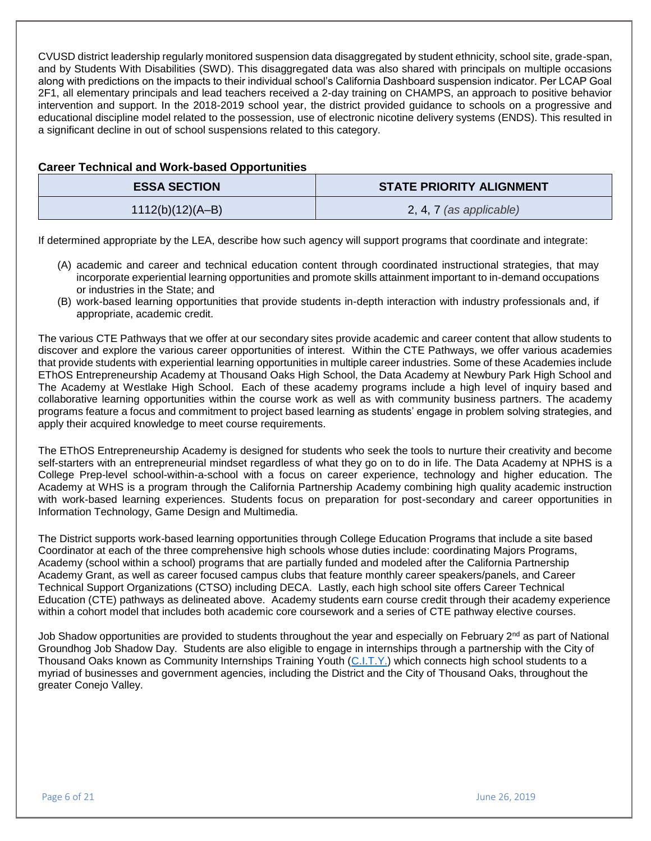CVUSD district leadership regularly monitored suspension data disaggregated by student ethnicity, school site, grade-span, and by Students With Disabilities (SWD). This disaggregated data was also shared with principals on multiple occasions along with predictions on the impacts to their individual school's California Dashboard suspension indicator. Per LCAP Goal 2F1, all elementary principals and lead teachers received a 2-day training on CHAMPS, an approach to positive behavior intervention and support. In the 2018-2019 school year, the district provided guidance to schools on a progressive and educational discipline model related to the possession, use of electronic nicotine delivery systems (ENDS). This resulted in a significant decline in out of school suspensions related to this category.

| <b>Career Technical and Work-based Opportunities</b> |                                 |
|------------------------------------------------------|---------------------------------|
| <b>ESSA SECTION</b>                                  | <b>STATE PRIORITY ALIGNMENT</b> |
| $1112(b)(12)(A-B)$                                   | 2, 4, 7 (as applicable)         |
|                                                      |                                 |

If determined appropriate by the LEA, describe how such agency will support programs that coordinate and integrate:

- (A) academic and career and technical education content through coordinated instructional strategies, that may incorporate experiential learning opportunities and promote skills attainment important to in-demand occupations or industries in the State; and
- (B) work-based learning opportunities that provide students in-depth interaction with industry professionals and, if appropriate, academic credit.

The various CTE Pathways that we offer at our secondary sites provide academic and career content that allow students to discover and explore the various career opportunities of interest. Within the CTE Pathways, we offer various academies that provide students with experiential learning opportunities in multiple career industries. Some of these Academies include EThOS Entrepreneurship Academy at Thousand Oaks High School, the Data Academy at Newbury Park High School and The Academy at Westlake High School. Each of these academy programs include a high level of inquiry based and collaborative learning opportunities within the course work as well as with community business partners. The academy programs feature a focus and commitment to project based learning as students' engage in problem solving strategies, and apply their acquired knowledge to meet course requirements.

The EThOS Entrepreneurship Academy is designed for students who seek the tools to nurture their creativity and become self-starters with an entrepreneurial mindset regardless of what they go on to do in life. The Data Academy at NPHS is a College Prep-level school-within-a-school with a focus on career experience, technology and higher education. The Academy at WHS is a program through the California Partnership Academy combining high quality academic instruction with work-based learning experiences. Students focus on preparation for post-secondary and career opportunities in Information Technology, Game Design and Multimedia.

The District supports work-based learning opportunities through College Education Programs that include a site based Coordinator at each of the three comprehensive high schools whose duties include: coordinating Majors Programs, Academy (school within a school) programs that are partially funded and modeled after the California Partnership Academy Grant, as well as career focused campus clubs that feature monthly career speakers/panels, and Career Technical Support Organizations (CTSO) including DECA. Lastly, each high school site offers Career Technical Education (CTE) pathways as delineated above. Academy students earn course credit through their academy experience within a cohort model that includes both academic core coursework and a series of CTE pathway elective courses.

Job Shadow opportunities are provided to students throughout the year and especially on February 2<sup>nd</sup> as part of National Groundhog Job Shadow Day. Students are also eligible to engage in internships through a partnership with the City of Thousand Oaks known as Community Internships Training Youth [\(C.I.T.Y.\)](https://www.toaks.org/residents/community-services/community-internships-training-youth-c-i-t-y) which connects high school students to a myriad of businesses and government agencies, including the District and the City of Thousand Oaks, throughout the greater Conejo Valley.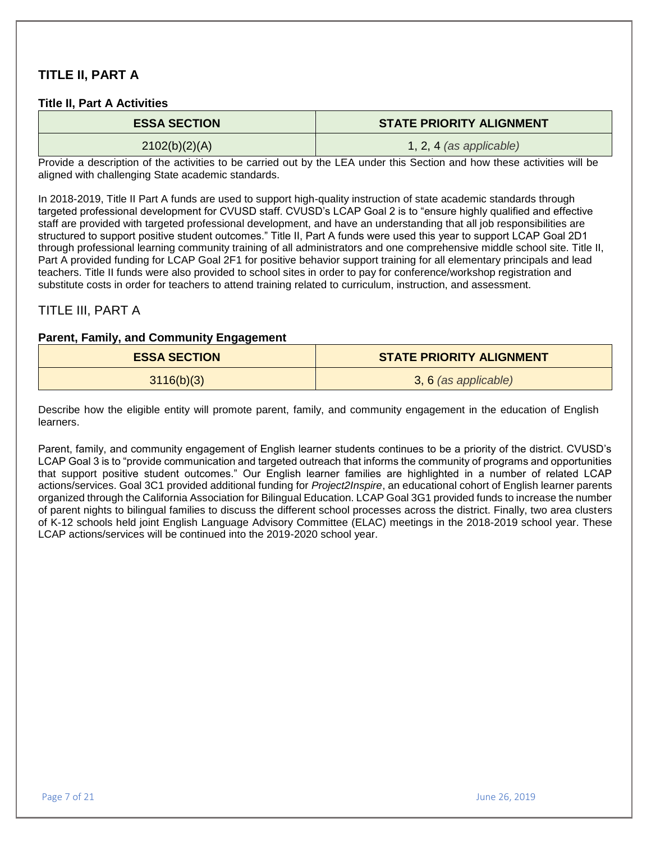# **TITLE II, PART A**

## **Title II, Part A Activities**

| <b>ESSA SECTION</b> | <b>STATE PRIORITY ALIGNMENT</b> |
|---------------------|---------------------------------|
| 2102(b)(2)(A)       | $1, 2, 4$ (as applicable)       |

Provide a description of the activities to be carried out by the LEA under this Section and how these activities will be aligned with challenging State academic standards.

In 2018-2019, Title II Part A funds are used to support high-quality instruction of state academic standards through targeted professional development for CVUSD staff. CVUSD's LCAP Goal 2 is to "ensure highly qualified and effective staff are provided with targeted professional development, and have an understanding that all job responsibilities are structured to support positive student outcomes." Title II, Part A funds were used this year to support LCAP Goal 2D1 through professional learning community training of all administrators and one comprehensive middle school site. Title II, Part A provided funding for LCAP Goal 2F1 for positive behavior support training for all elementary principals and lead teachers. Title II funds were also provided to school sites in order to pay for conference/workshop registration and substitute costs in order for teachers to attend training related to curriculum, instruction, and assessment.

# TITLE III, PART A

## **Parent, Family, and Community Engagement**

| <b>ESSA SECTION</b> | <b>STATE PRIORITY ALIGNMENT</b> |
|---------------------|---------------------------------|
| 3116(b)(3)          | 3, 6 (as applicable)            |

Describe how the eligible entity will promote parent, family, and community engagement in the education of English learners.

Parent, family, and community engagement of English learner students continues to be a priority of the district. CVUSD's LCAP Goal 3 is to "provide communication and targeted outreach that informs the community of programs and opportunities that support positive student outcomes." Our English learner families are highlighted in a number of related LCAP actions/services. Goal 3C1 provided additional funding for *Project2Inspire*, an educational cohort of English learner parents organized through the California Association for Bilingual Education. LCAP Goal 3G1 provided funds to increase the number of parent nights to bilingual families to discuss the different school processes across the district. Finally, two area clusters of K-12 schools held joint English Language Advisory Committee (ELAC) meetings in the 2018-2019 school year. These LCAP actions/services will be continued into the 2019-2020 school year.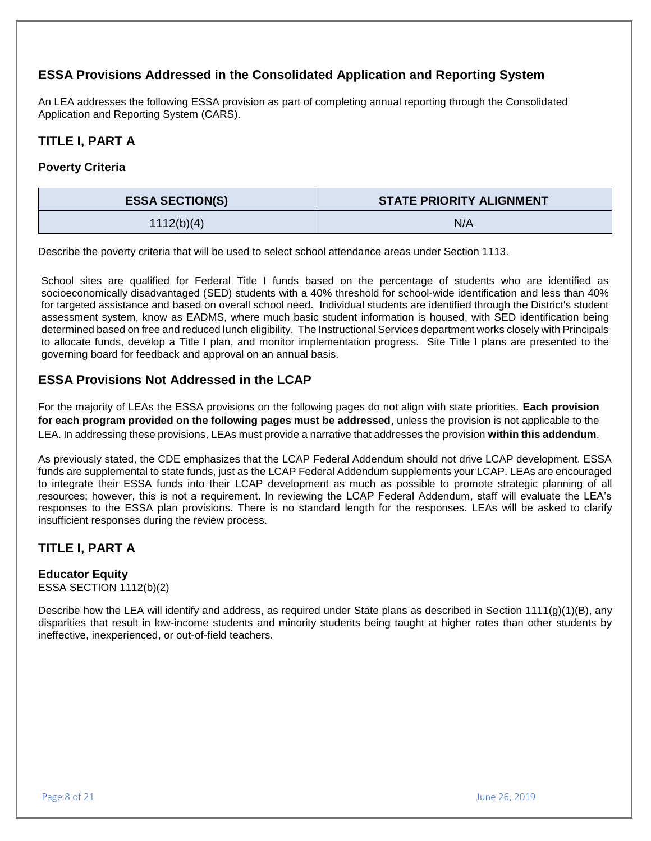# **ESSA Provisions Addressed in the Consolidated Application and Reporting System**

An LEA addresses the following ESSA provision as part of completing annual reporting through the Consolidated Application and Reporting System (CARS).

# **TITLE I, PART A**

# **Poverty Criteria**

| <b>ESSA SECTION(S)</b> | <b>STATE PRIORITY ALIGNMENT</b> |
|------------------------|---------------------------------|
| 1112(b)(4)             | N/A                             |

Describe the poverty criteria that will be used to select school attendance areas under Section 1113.

School sites are qualified for Federal Title I funds based on the percentage of students who are identified as socioeconomically disadvantaged (SED) students with a 40% threshold for school-wide identification and less than 40% for targeted assistance and based on overall school need. Individual students are identified through the District's student assessment system, know as EADMS, where much basic student information is housed, with SED identification being determined based on free and reduced lunch eligibility. The Instructional Services department works closely with Principals to allocate funds, develop a Title I plan, and monitor implementation progress. Site Title I plans are presented to the governing board for feedback and approval on an annual basis.

# **ESSA Provisions Not Addressed in the LCAP**

For the majority of LEAs the ESSA provisions on the following pages do not align with state priorities. **Each provision for each program provided on the following pages must be addressed**, unless the provision is not applicable to the LEA. In addressing these provisions, LEAs must provide a narrative that addresses the provision **within this addendum**.

As previously stated, the CDE emphasizes that the LCAP Federal Addendum should not drive LCAP development. ESSA funds are supplemental to state funds, just as the LCAP Federal Addendum supplements your LCAP. LEAs are encouraged to integrate their ESSA funds into their LCAP development as much as possible to promote strategic planning of all resources; however, this is not a requirement. In reviewing the LCAP Federal Addendum, staff will evaluate the LEA's responses to the ESSA plan provisions. There is no standard length for the responses. LEAs will be asked to clarify insufficient responses during the review process.

# **TITLE I, PART A**

# **Educator Equity**

ESSA SECTION 1112(b)(2)

Describe how the LEA will identify and address, as required under State plans as described in Section 1111(g)(1)(B), any disparities that result in low-income students and minority students being taught at higher rates than other students by ineffective, inexperienced, or out-of-field teachers.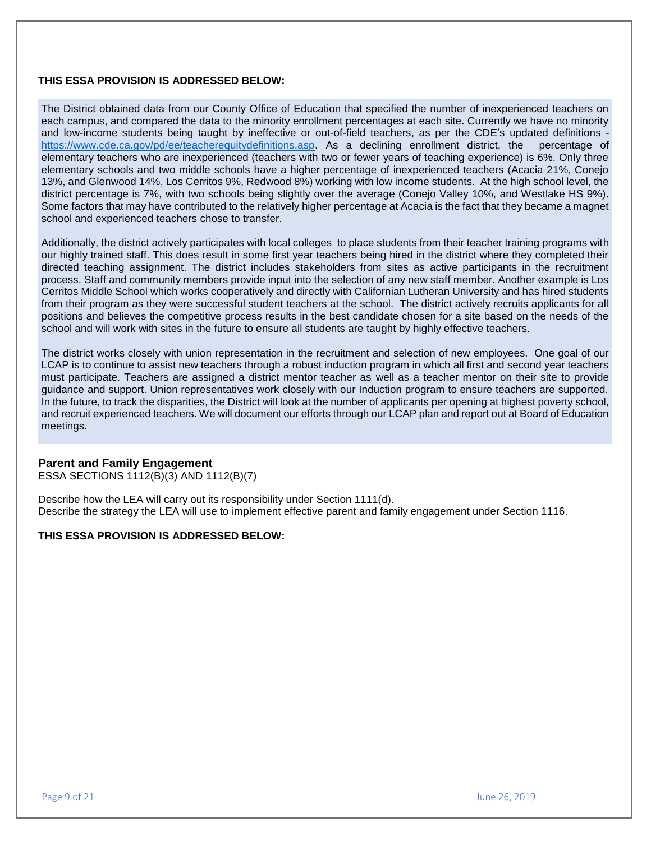#### **THIS ESSA PROVISION IS ADDRESSED BELOW:**

The District obtained data from our County Office of Education that specified the number of inexperienced teachers on each campus, and compared the data to the minority enrollment percentages at each site. Currently we have no minority and low-income students being taught by ineffective or out-of-field teachers, as per the CDE's updated definitions [https://www.cde.ca.gov/pd/ee/teacherequitydefinitions.asp.](https://www.cde.ca.gov/pd/ee/teacherequitydefinitions.asp) As a declining enrollment district, the percentage of elementary teachers who are inexperienced (teachers with two or fewer years of teaching experience) is 6%. Only three elementary schools and two middle schools have a higher percentage of inexperienced teachers (Acacia 21%, Conejo 13%, and Glenwood 14%, Los Cerritos 9%, Redwood 8%) working with low income students. At the high school level, the district percentage is 7%, with two schools being slightly over the average (Conejo Valley 10%, and Westlake HS 9%). Some factors that may have contributed to the relatively higher percentage at Acacia is the fact that they became a magnet school and experienced teachers chose to transfer.

Additionally, the district actively participates with local colleges to place students from their teacher training programs with our highly trained staff. This does result in some first year teachers being hired in the district where they completed their directed teaching assignment. The district includes stakeholders from sites as active participants in the recruitment process. Staff and community members provide input into the selection of any new staff member. Another example is Los Cerritos Middle School which works cooperatively and directly with Californian Lutheran University and has hired students from their program as they were successful student teachers at the school. The district actively recruits applicants for all positions and believes the competitive process results in the best candidate chosen for a site based on the needs of the school and will work with sites in the future to ensure all students are taught by highly effective teachers.

The district works closely with union representation in the recruitment and selection of new employees. One goal of our LCAP is to continue to assist new teachers through a robust induction program in which all first and second year teachers must participate. Teachers are assigned a district mentor teacher as well as a teacher mentor on their site to provide guidance and support. Union representatives work closely with our Induction program to ensure teachers are supported. In the future, to track the disparities, the District will look at the number of applicants per opening at highest poverty school, and recruit experienced teachers. We will document our efforts through our LCAP plan and report out at Board of Education meetings.

## **Parent and Family Engagement**

ESSA SECTIONS 1112(B)(3) AND 1112(B)(7)

Describe how the LEA will carry out its responsibility under Section 1111(d). Describe the strategy the LEA will use to implement effective parent and family engagement under Section 1116.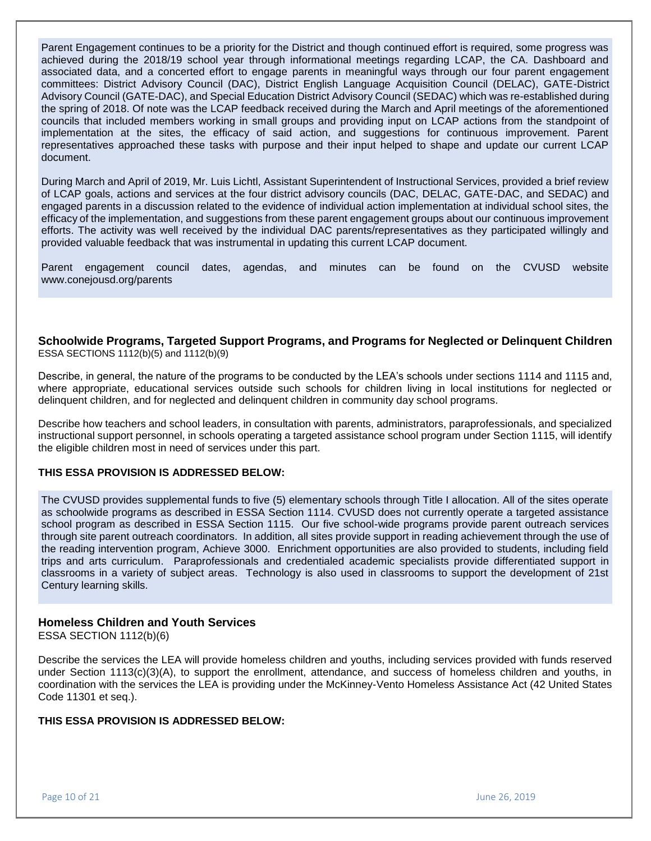Parent Engagement continues to be a priority for the District and though continued effort is required, some progress was achieved during the 2018/19 school year through informational meetings regarding LCAP, the CA. Dashboard and associated data, and a concerted effort to engage parents in meaningful ways through our four parent engagement committees: District Advisory Council (DAC), District English Language Acquisition Council (DELAC), GATE-District Advisory Council (GATE-DAC), and Special Education District Advisory Council (SEDAC) which was re-established during the spring of 2018. Of note was the LCAP feedback received during the March and April meetings of the aforementioned councils that included members working in small groups and providing input on LCAP actions from the standpoint of implementation at the sites, the efficacy of said action, and suggestions for continuous improvement. Parent representatives approached these tasks with purpose and their input helped to shape and update our current LCAP document.

During March and April of 2019, Mr. Luis Lichtl, Assistant Superintendent of Instructional Services, provided a brief review of LCAP goals, actions and services at the four district advisory councils (DAC, DELAC, GATE-DAC, and SEDAC) and engaged parents in a discussion related to the evidence of individual action implementation at individual school sites, the efficacy of the implementation, and suggestions from these parent engagement groups about our continuous improvement efforts. The activity was well received by the individual DAC parents/representatives as they participated willingly and provided valuable feedback that was instrumental in updating this current LCAP document.

Parent engagement council dates, agendas, and minutes can be found on the CVUSD website www.conejousd.org/parents

**Schoolwide Programs, Targeted Support Programs, and Programs for Neglected or Delinquent Children** ESSA SECTIONS 1112(b)(5) and 1112(b)(9)

Describe, in general, the nature of the programs to be conducted by the LEA's schools under sections 1114 and 1115 and, where appropriate, educational services outside such schools for children living in local institutions for neglected or delinquent children, and for neglected and delinquent children in community day school programs.

Describe how teachers and school leaders, in consultation with parents, administrators, paraprofessionals, and specialized instructional support personnel, in schools operating a targeted assistance school program under Section 1115, will identify the eligible children most in need of services under this part.

#### **THIS ESSA PROVISION IS ADDRESSED BELOW:**

The CVUSD provides supplemental funds to five (5) elementary schools through Title I allocation. All of the sites operate as schoolwide programs as described in ESSA Section 1114. CVUSD does not currently operate a targeted assistance school program as described in ESSA Section 1115. Our five school-wide programs provide parent outreach services through site parent outreach coordinators. In addition, all sites provide support in reading achievement through the use of the reading intervention program, Achieve 3000. Enrichment opportunities are also provided to students, including field trips and arts curriculum. Paraprofessionals and credentialed academic specialists provide differentiated support in classrooms in a variety of subject areas. Technology is also used in classrooms to support the development of 21st Century learning skills.

## **Homeless Children and Youth Services**

ESSA SECTION 1112(b)(6)

Describe the services the LEA will provide homeless children and youths, including services provided with funds reserved under Section 1113(c)(3)(A), to support the enrollment, attendance, and success of homeless children and youths, in coordination with the services the LEA is providing under the McKinney-Vento Homeless Assistance Act (42 United States Code 11301 et seq.).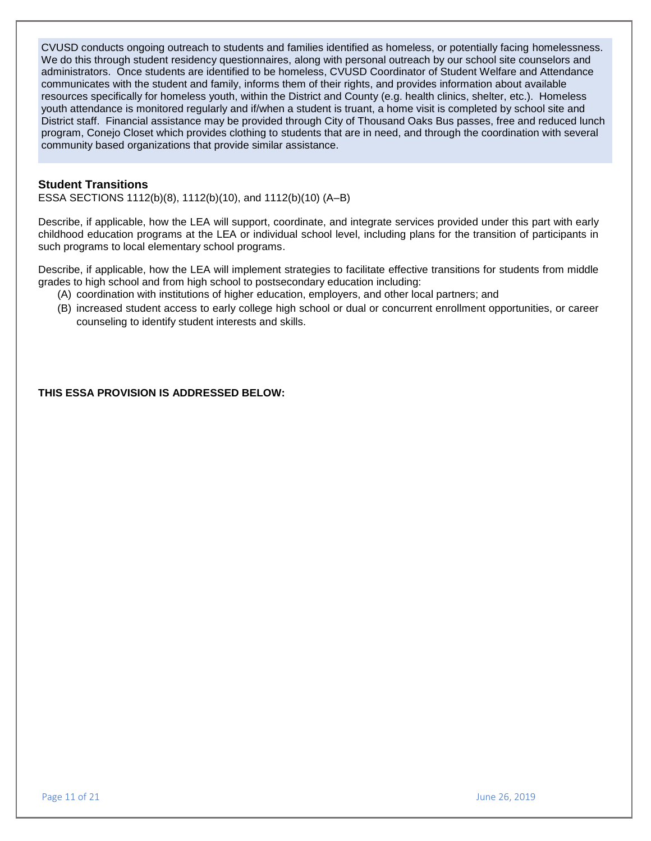CVUSD conducts ongoing outreach to students and families identified as homeless, or potentially facing homelessness. We do this through student residency questionnaires, along with personal outreach by our school site counselors and administrators. Once students are identified to be homeless, CVUSD Coordinator of Student Welfare and Attendance communicates with the student and family, informs them of their rights, and provides information about available resources specifically for homeless youth, within the District and County (e.g. health clinics, shelter, etc.). Homeless youth attendance is monitored regularly and if/when a student is truant, a home visit is completed by school site and District staff. Financial assistance may be provided through City of Thousand Oaks Bus passes, free and reduced lunch program, Conejo Closet which provides clothing to students that are in need, and through the coordination with several community based organizations that provide similar assistance.

#### **Student Transitions**

ESSA SECTIONS 1112(b)(8), 1112(b)(10), and 1112(b)(10) (A–B)

Describe, if applicable, how the LEA will support, coordinate, and integrate services provided under this part with early childhood education programs at the LEA or individual school level, including plans for the transition of participants in such programs to local elementary school programs.

Describe, if applicable, how the LEA will implement strategies to facilitate effective transitions for students from middle grades to high school and from high school to postsecondary education including:

- (A) coordination with institutions of higher education, employers, and other local partners; and
- (B) increased student access to early college high school or dual or concurrent enrollment opportunities, or career counseling to identify student interests and skills.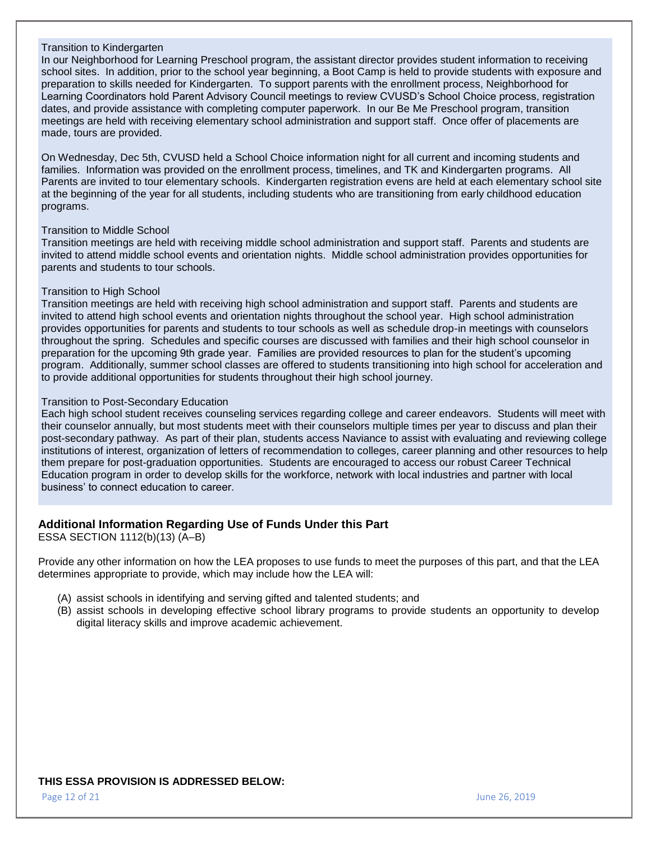#### Transition to Kindergarten

In our Neighborhood for Learning Preschool program, the assistant director provides student information to receiving school sites. In addition, prior to the school year beginning, a Boot Camp is held to provide students with exposure and preparation to skills needed for Kindergarten. To support parents with the enrollment process, Neighborhood for Learning Coordinators hold Parent Advisory Council meetings to review CVUSD's School Choice process, registration dates, and provide assistance with completing computer paperwork. In our Be Me Preschool program, transition meetings are held with receiving elementary school administration and support staff. Once offer of placements are made, tours are provided.

On Wednesday, Dec 5th, CVUSD held a School Choice information night for all current and incoming students and families. Information was provided on the enrollment process, timelines, and TK and Kindergarten programs. All Parents are invited to tour elementary schools. Kindergarten registration evens are held at each elementary school site at the beginning of the year for all students, including students who are transitioning from early childhood education programs.

#### Transition to Middle School

Transition meetings are held with receiving middle school administration and support staff. Parents and students are invited to attend middle school events and orientation nights. Middle school administration provides opportunities for parents and students to tour schools.

#### Transition to High School

Transition meetings are held with receiving high school administration and support staff. Parents and students are invited to attend high school events and orientation nights throughout the school year. High school administration provides opportunities for parents and students to tour schools as well as schedule drop-in meetings with counselors throughout the spring. Schedules and specific courses are discussed with families and their high school counselor in preparation for the upcoming 9th grade year. Families are provided resources to plan for the student's upcoming program. Additionally, summer school classes are offered to students transitioning into high school for acceleration and to provide additional opportunities for students throughout their high school journey.

#### Transition to Post-Secondary Education

Each high school student receives counseling services regarding college and career endeavors. Students will meet with their counselor annually, but most students meet with their counselors multiple times per year to discuss and plan their post-secondary pathway. As part of their plan, students access Naviance to assist with evaluating and reviewing college institutions of interest, organization of letters of recommendation to colleges, career planning and other resources to help them prepare for post-graduation opportunities. Students are encouraged to access our robust Career Technical Education program in order to develop skills for the workforce, network with local industries and partner with local business' to connect education to career.

## **Additional Information Regarding Use of Funds Under this Part**

ESSA SECTION 1112(b)(13) (A–B)

Provide any other information on how the LEA proposes to use funds to meet the purposes of this part, and that the LEA determines appropriate to provide, which may include how the LEA will:

- (A) assist schools in identifying and serving gifted and talented students; and
- (B) assist schools in developing effective school library programs to provide students an opportunity to develop digital literacy skills and improve academic achievement.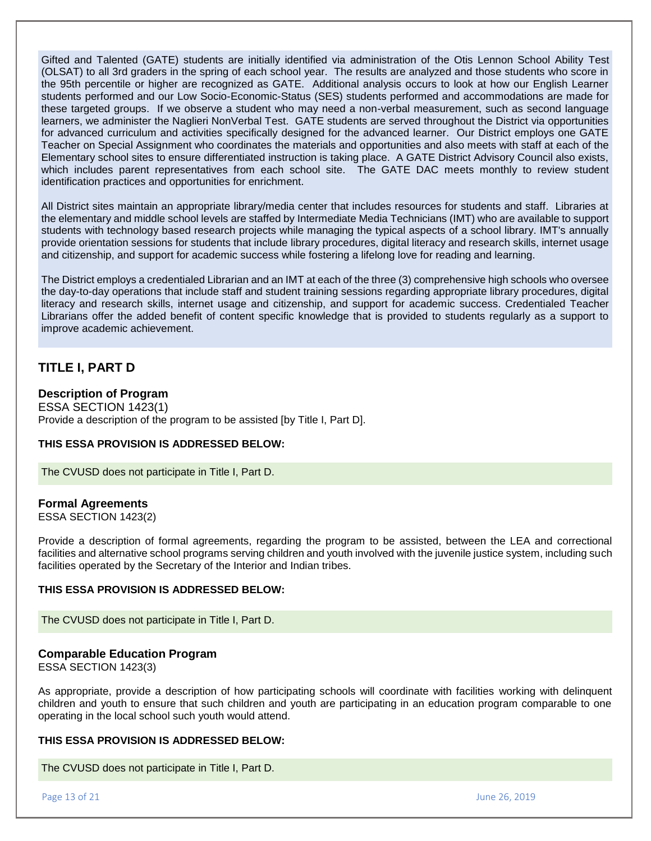Gifted and Talented (GATE) students are initially identified via administration of the Otis Lennon School Ability Test (OLSAT) to all 3rd graders in the spring of each school year. The results are analyzed and those students who score in the 95th percentile or higher are recognized as GATE. Additional analysis occurs to look at how our English Learner students performed and our Low Socio-Economic-Status (SES) students performed and accommodations are made for these targeted groups. If we observe a student who may need a non-verbal measurement, such as second language learners, we administer the Naglieri NonVerbal Test. GATE students are served throughout the District via opportunities for advanced curriculum and activities specifically designed for the advanced learner. Our District employs one GATE Teacher on Special Assignment who coordinates the materials and opportunities and also meets with staff at each of the Elementary school sites to ensure differentiated instruction is taking place. A GATE District Advisory Council also exists, which includes parent representatives from each school site. The GATE DAC meets monthly to review student identification practices and opportunities for enrichment.

All District sites maintain an appropriate library/media center that includes resources for students and staff. Libraries at the elementary and middle school levels are staffed by Intermediate Media Technicians (IMT) who are available to support students with technology based research projects while managing the typical aspects of a school library. IMT's annually provide orientation sessions for students that include library procedures, digital literacy and research skills, internet usage and citizenship, and support for academic success while fostering a lifelong love for reading and learning.

The District employs a credentialed Librarian and an IMT at each of the three (3) comprehensive high schools who oversee the day-to-day operations that include staff and student training sessions regarding appropriate library procedures, digital literacy and research skills, internet usage and citizenship, and support for academic success. Credentialed Teacher Librarians offer the added benefit of content specific knowledge that is provided to students regularly as a support to improve academic achievement.

# **TITLE I, PART D**

## **Description of Program**

ESSA SECTION 1423(1) Provide a description of the program to be assisted [by Title I, Part D].

#### **THIS ESSA PROVISION IS ADDRESSED BELOW:**

The CVUSD does not participate in Title I, Part D.

#### **Formal Agreements**

ESSA SECTION 1423(2)

Provide a description of formal agreements, regarding the program to be assisted, between the LEA and correctional facilities and alternative school programs serving children and youth involved with the juvenile justice system, including such facilities operated by the Secretary of the Interior and Indian tribes.

#### **THIS ESSA PROVISION IS ADDRESSED BELOW:**

The CVUSD does not participate in Title I, Part D.

#### **Comparable Education Program**

ESSA SECTION 1423(3)

As appropriate, provide a description of how participating schools will coordinate with facilities working with delinquent children and youth to ensure that such children and youth are participating in an education program comparable to one operating in the local school such youth would attend.

#### **THIS ESSA PROVISION IS ADDRESSED BELOW:**

The CVUSD does not participate in Title I, Part D.

Page 13 of 21 June 26, 2019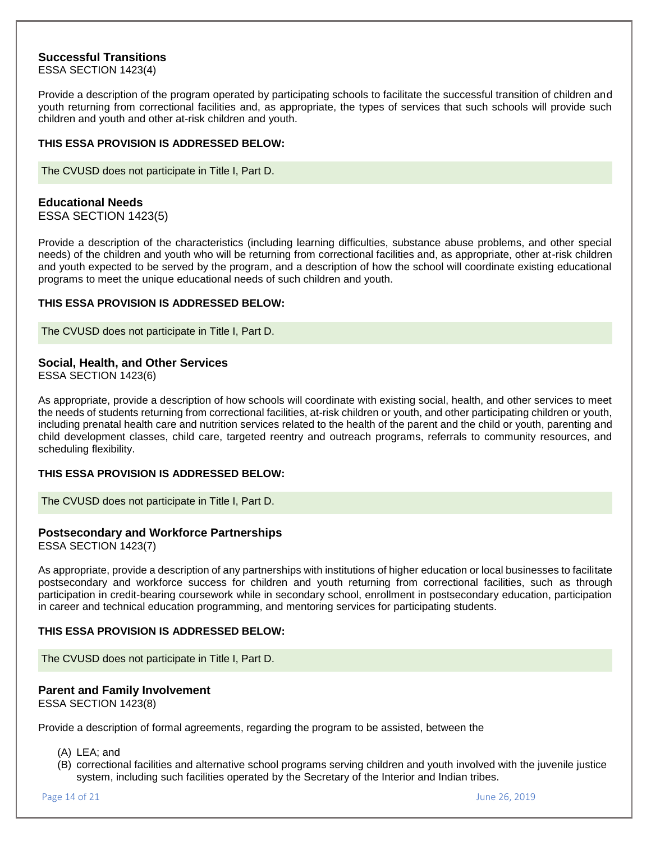## **Successful Transitions**

ESSA SECTION 1423(4)

Provide a description of the program operated by participating schools to facilitate the successful transition of children and youth returning from correctional facilities and, as appropriate, the types of services that such schools will provide such children and youth and other at-risk children and youth.

#### **THIS ESSA PROVISION IS ADDRESSED BELOW:**

The CVUSD does not participate in Title I, Part D.

#### **Educational Needs**

ESSA SECTION 1423(5)

Provide a description of the characteristics (including learning difficulties, substance abuse problems, and other special needs) of the children and youth who will be returning from correctional facilities and, as appropriate, other at-risk children and youth expected to be served by the program, and a description of how the school will coordinate existing educational programs to meet the unique educational needs of such children and youth.

#### **THIS ESSA PROVISION IS ADDRESSED BELOW:**

The CVUSD does not participate in Title I, Part D.

## **Social, Health, and Other Services**

ESSA SECTION 1423(6)

As appropriate, provide a description of how schools will coordinate with existing social, health, and other services to meet the needs of students returning from correctional facilities, at-risk children or youth, and other participating children or youth, including prenatal health care and nutrition services related to the health of the parent and the child or youth, parenting and child development classes, child care, targeted reentry and outreach programs, referrals to community resources, and scheduling flexibility.

#### **THIS ESSA PROVISION IS ADDRESSED BELOW:**

The CVUSD does not participate in Title I, Part D.

## **Postsecondary and Workforce Partnerships**

ESSA SECTION 1423(7)

As appropriate, provide a description of any partnerships with institutions of higher education or local businesses to facilitate postsecondary and workforce success for children and youth returning from correctional facilities, such as through participation in credit-bearing coursework while in secondary school, enrollment in postsecondary education, participation in career and technical education programming, and mentoring services for participating students.

#### **THIS ESSA PROVISION IS ADDRESSED BELOW:**

The CVUSD does not participate in Title I, Part D.

# **Parent and Family Involvement**

ESSA SECTION 1423(8)

Provide a description of formal agreements, regarding the program to be assisted, between the

- (A) LEA; and
- (B) correctional facilities and alternative school programs serving children and youth involved with the juvenile justice system, including such facilities operated by the Secretary of the Interior and Indian tribes.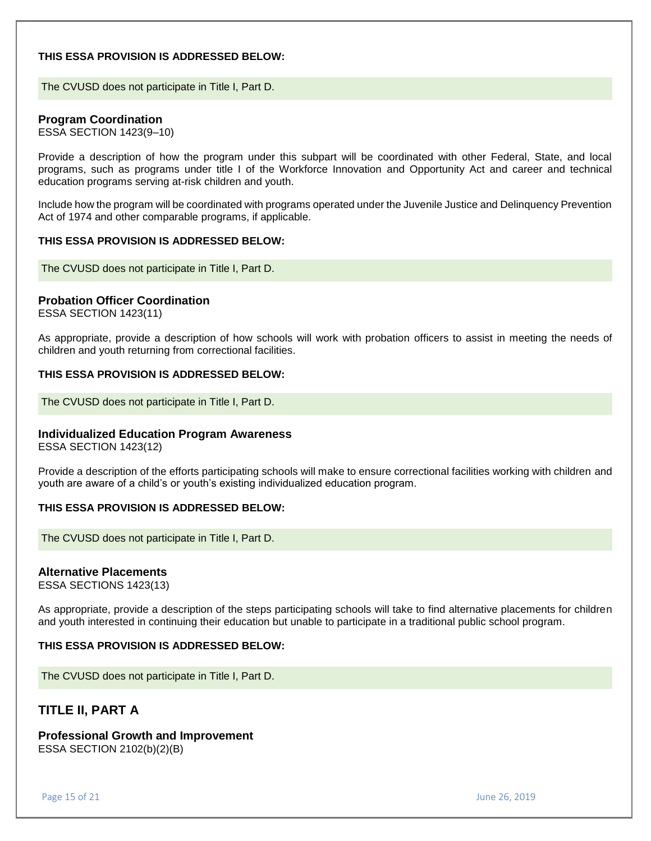#### **THIS ESSA PROVISION IS ADDRESSED BELOW:**

The CVUSD does not participate in Title I, Part D.

## **Program Coordination**

ESSA SECTION 1423(9–10)

Provide a description of how the program under this subpart will be coordinated with other Federal, State, and local programs, such as programs under title I of the Workforce Innovation and Opportunity Act and career and technical education programs serving at-risk children and youth.

Include how the program will be coordinated with programs operated under the Juvenile Justice and Delinquency Prevention Act of 1974 and other comparable programs, if applicable.

#### **THIS ESSA PROVISION IS ADDRESSED BELOW:**

The CVUSD does not participate in Title I, Part D.

## **Probation Officer Coordination**

ESSA SECTION 1423(11)

As appropriate, provide a description of how schools will work with probation officers to assist in meeting the needs of children and youth returning from correctional facilities.

#### **THIS ESSA PROVISION IS ADDRESSED BELOW:**

The CVUSD does not participate in Title I, Part D.

## **Individualized Education Program Awareness**

ESSA SECTION 1423(12)

Provide a description of the efforts participating schools will make to ensure correctional facilities working with children and youth are aware of a child's or youth's existing individualized education program.

## **THIS ESSA PROVISION IS ADDRESSED BELOW:**

The CVUSD does not participate in Title I, Part D.

#### **Alternative Placements**

ESSA SECTIONS 1423(13)

As appropriate, provide a description of the steps participating schools will take to find alternative placements for children and youth interested in continuing their education but unable to participate in a traditional public school program.

#### **THIS ESSA PROVISION IS ADDRESSED BELOW:**

The CVUSD does not participate in Title I, Part D.

# **TITLE II, PART A**

# **Professional Growth and Improvement**

ESSA SECTION 2102(b)(2)(B)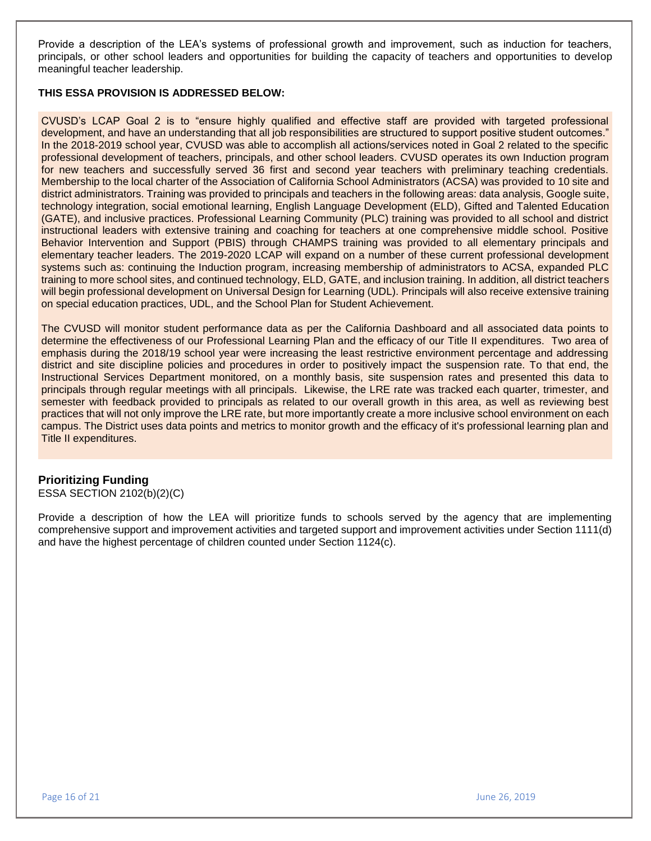Provide a description of the LEA's systems of professional growth and improvement, such as induction for teachers, principals, or other school leaders and opportunities for building the capacity of teachers and opportunities to develop meaningful teacher leadership.

## **THIS ESSA PROVISION IS ADDRESSED BELOW:**

CVUSD's LCAP Goal 2 is to "ensure highly qualified and effective staff are provided with targeted professional development, and have an understanding that all job responsibilities are structured to support positive student outcomes." In the 2018-2019 school year, CVUSD was able to accomplish all actions/services noted in Goal 2 related to the specific professional development of teachers, principals, and other school leaders. CVUSD operates its own Induction program for new teachers and successfully served 36 first and second year teachers with preliminary teaching credentials. Membership to the local charter of the Association of California School Administrators (ACSA) was provided to 10 site and district administrators. Training was provided to principals and teachers in the following areas: data analysis, Google suite, technology integration, social emotional learning, English Language Development (ELD), Gifted and Talented Education (GATE), and inclusive practices. Professional Learning Community (PLC) training was provided to all school and district instructional leaders with extensive training and coaching for teachers at one comprehensive middle school. Positive Behavior Intervention and Support (PBIS) through CHAMPS training was provided to all elementary principals and elementary teacher leaders. The 2019-2020 LCAP will expand on a number of these current professional development systems such as: continuing the Induction program, increasing membership of administrators to ACSA, expanded PLC training to more school sites, and continued technology, ELD, GATE, and inclusion training. In addition, all district teachers will begin professional development on Universal Design for Learning (UDL). Principals will also receive extensive training on special education practices, UDL, and the School Plan for Student Achievement.

The CVUSD will monitor student performance data as per the California Dashboard and all associated data points to determine the effectiveness of our Professional Learning Plan and the efficacy of our Title II expenditures. Two area of emphasis during the 2018/19 school year were increasing the least restrictive environment percentage and addressing district and site discipline policies and procedures in order to positively impact the suspension rate. To that end, the Instructional Services Department monitored, on a monthly basis, site suspension rates and presented this data to principals through regular meetings with all principals. Likewise, the LRE rate was tracked each quarter, trimester, and semester with feedback provided to principals as related to our overall growth in this area, as well as reviewing best practices that will not only improve the LRE rate, but more importantly create a more inclusive school environment on each campus. The District uses data points and metrics to monitor growth and the efficacy of it's professional learning plan and Title II expenditures.

## **Prioritizing Funding**

ESSA SECTION 2102(b)(2)(C)

Provide a description of how the LEA will prioritize funds to schools served by the agency that are implementing comprehensive support and improvement activities and targeted support and improvement activities under Section 1111(d) and have the highest percentage of children counted under Section 1124(c).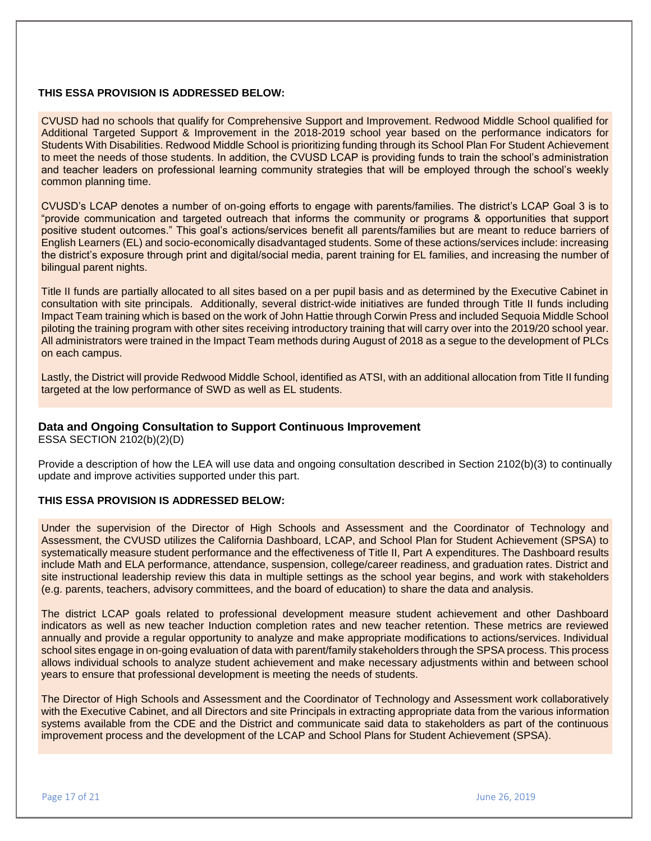## **THIS ESSA PROVISION IS ADDRESSED BELOW:**

CVUSD had no schools that qualify for Comprehensive Support and Improvement. Redwood Middle School qualified for Additional Targeted Support & Improvement in the 2018-2019 school year based on the performance indicators for Students With Disabilities. Redwood Middle School is prioritizing funding through its School Plan For Student Achievement to meet the needs of those students. In addition, the CVUSD LCAP is providing funds to train the school's administration and teacher leaders on professional learning community strategies that will be employed through the school's weekly common planning time.

CVUSD's LCAP denotes a number of on-going efforts to engage with parents/families. The district's LCAP Goal 3 is to "provide communication and targeted outreach that informs the community or programs & opportunities that support positive student outcomes." This goal's actions/services benefit all parents/families but are meant to reduce barriers of English Learners (EL) and socio-economically disadvantaged students. Some of these actions/services include: increasing the district's exposure through print and digital/social media, parent training for EL families, and increasing the number of bilingual parent nights.

Title II funds are partially allocated to all sites based on a per pupil basis and as determined by the Executive Cabinet in consultation with site principals. Additionally, several district-wide initiatives are funded through Title II funds including Impact Team training which is based on the work of John Hattie through Corwin Press and included Sequoia Middle School piloting the training program with other sites receiving introductory training that will carry over into the 2019/20 school year. All administrators were trained in the Impact Team methods during August of 2018 as a segue to the development of PLCs on each campus.

Lastly, the District will provide Redwood Middle School, identified as ATSI, with an additional allocation from Title II funding targeted at the low performance of SWD as well as EL students.

## **Data and Ongoing Consultation to Support Continuous Improvement**

ESSA SECTION 2102(b)(2)(D)

Provide a description of how the LEA will use data and ongoing consultation described in Section 2102(b)(3) to continually update and improve activities supported under this part.

#### **THIS ESSA PROVISION IS ADDRESSED BELOW:**

Under the supervision of the Director of High Schools and Assessment and the Coordinator of Technology and Assessment, the CVUSD utilizes the California Dashboard, LCAP, and School Plan for Student Achievement (SPSA) to systematically measure student performance and the effectiveness of Title II, Part A expenditures. The Dashboard results include Math and ELA performance, attendance, suspension, college/career readiness, and graduation rates. District and site instructional leadership review this data in multiple settings as the school year begins, and work with stakeholders (e.g. parents, teachers, advisory committees, and the board of education) to share the data and analysis.

The district LCAP goals related to professional development measure student achievement and other Dashboard indicators as well as new teacher Induction completion rates and new teacher retention. These metrics are reviewed annually and provide a regular opportunity to analyze and make appropriate modifications to actions/services. Individual school sites engage in on-going evaluation of data with parent/family stakeholders through the SPSA process. This process allows individual schools to analyze student achievement and make necessary adjustments within and between school years to ensure that professional development is meeting the needs of students.

The Director of High Schools and Assessment and the Coordinator of Technology and Assessment work collaboratively with the Executive Cabinet, and all Directors and site Principals in extracting appropriate data from the various information systems available from the CDE and the District and communicate said data to stakeholders as part of the continuous improvement process and the development of the LCAP and School Plans for Student Achievement (SPSA).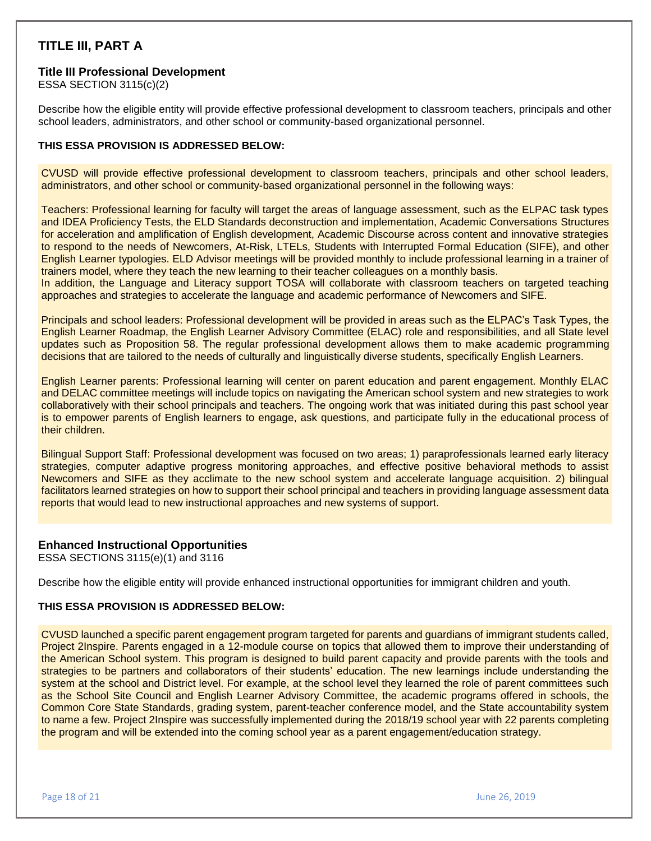# **TITLE III, PART A**

#### **Title III Professional Development**

ESSA SECTION 3115(c)(2)

Describe how the eligible entity will provide effective professional development to classroom teachers, principals and other school leaders, administrators, and other school or community-based organizational personnel.

#### **THIS ESSA PROVISION IS ADDRESSED BELOW:**

CVUSD will provide effective professional development to classroom teachers, principals and other school leaders, administrators, and other school or community-based organizational personnel in the following ways:

Teachers: Professional learning for faculty will target the areas of language assessment, such as the ELPAC task types and IDEA Proficiency Tests, the ELD Standards deconstruction and implementation, Academic Conversations Structures for acceleration and amplification of English development, Academic Discourse across content and innovative strategies to respond to the needs of Newcomers, At-Risk, LTELs, Students with Interrupted Formal Education (SIFE), and other English Learner typologies. ELD Advisor meetings will be provided monthly to include professional learning in a trainer of trainers model, where they teach the new learning to their teacher colleagues on a monthly basis.

In addition, the Language and Literacy support TOSA will collaborate with classroom teachers on targeted teaching approaches and strategies to accelerate the language and academic performance of Newcomers and SIFE.

Principals and school leaders: Professional development will be provided in areas such as the ELPAC's Task Types, the English Learner Roadmap, the English Learner Advisory Committee (ELAC) role and responsibilities, and all State level updates such as Proposition 58. The regular professional development allows them to make academic programming decisions that are tailored to the needs of culturally and linguistically diverse students, specifically English Learners.

English Learner parents: Professional learning will center on parent education and parent engagement. Monthly ELAC and DELAC committee meetings will include topics on navigating the American school system and new strategies to work collaboratively with their school principals and teachers. The ongoing work that was initiated during this past school year is to empower parents of English learners to engage, ask questions, and participate fully in the educational process of their children.

Bilingual Support Staff: Professional development was focused on two areas; 1) paraprofessionals learned early literacy strategies, computer adaptive progress monitoring approaches, and effective positive behavioral methods to assist Newcomers and SIFE as they acclimate to the new school system and accelerate language acquisition. 2) bilingual facilitators learned strategies on how to support their school principal and teachers in providing language assessment data reports that would lead to new instructional approaches and new systems of support.

## **Enhanced Instructional Opportunities**

ESSA SECTIONS 3115(e)(1) and 3116

Describe how the eligible entity will provide enhanced instructional opportunities for immigrant children and youth.

#### **THIS ESSA PROVISION IS ADDRESSED BELOW:**

CVUSD launched a specific parent engagement program targeted for parents and guardians of immigrant students called, Project 2Inspire. Parents engaged in a 12-module course on topics that allowed them to improve their understanding of the American School system. This program is designed to build parent capacity and provide parents with the tools and strategies to be partners and collaborators of their students' education. The new learnings include understanding the system at the school and District level. For example, at the school level they learned the role of parent committees such as the School Site Council and English Learner Advisory Committee, the academic programs offered in schools, the Common Core State Standards, grading system, parent-teacher conference model, and the State accountability system to name a few. Project 2Inspire was successfully implemented during the 2018/19 school year with 22 parents completing the program and will be extended into the coming school year as a parent engagement/education strategy.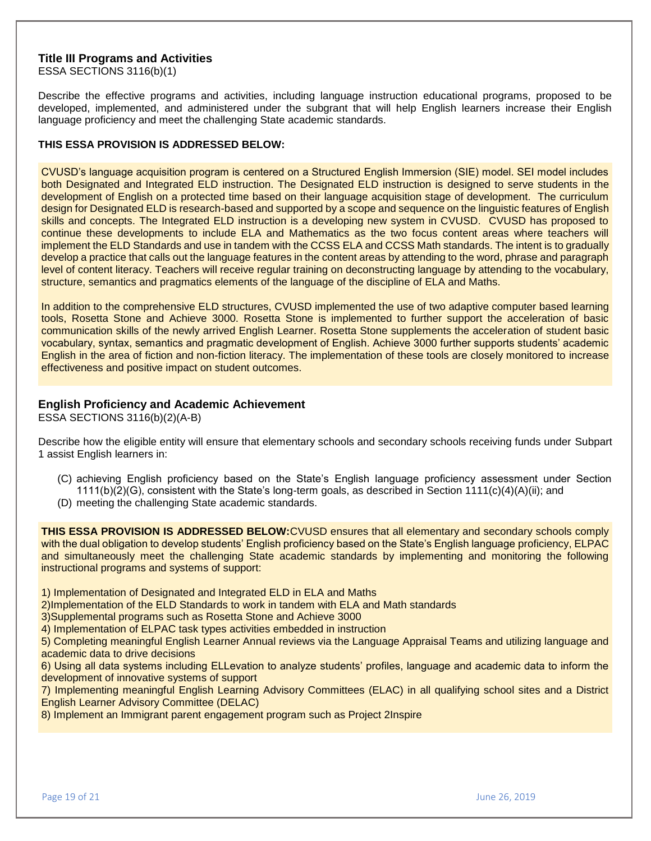#### **Title III Programs and Activities**

ESSA SECTIONS 3116(b)(1)

Describe the effective programs and activities, including language instruction educational programs, proposed to be developed, implemented, and administered under the subgrant that will help English learners increase their English language proficiency and meet the challenging State academic standards.

#### **THIS ESSA PROVISION IS ADDRESSED BELOW:**

CVUSD's language acquisition program is centered on a Structured English Immersion (SIE) model. SEI model includes both Designated and Integrated ELD instruction. The Designated ELD instruction is designed to serve students in the development of English on a protected time based on their language acquisition stage of development. The curriculum design for Designated ELD is research-based and supported by a scope and sequence on the linguistic features of English skills and concepts. The Integrated ELD instruction is a developing new system in CVUSD. CVUSD has proposed to continue these developments to include ELA and Mathematics as the two focus content areas where teachers will implement the ELD Standards and use in tandem with the CCSS ELA and CCSS Math standards. The intent is to gradually develop a practice that calls out the language features in the content areas by attending to the word, phrase and paragraph level of content literacy. Teachers will receive regular training on deconstructing language by attending to the vocabulary, structure, semantics and pragmatics elements of the language of the discipline of ELA and Maths.

In addition to the comprehensive ELD structures, CVUSD implemented the use of two adaptive computer based learning tools, Rosetta Stone and Achieve 3000. Rosetta Stone is implemented to further support the acceleration of basic communication skills of the newly arrived English Learner. Rosetta Stone supplements the acceleration of student basic vocabulary, syntax, semantics and pragmatic development of English. Achieve 3000 further supports students' academic English in the area of fiction and non-fiction literacy. The implementation of these tools are closely monitored to increase effectiveness and positive impact on student outcomes.

#### **English Proficiency and Academic Achievement**

ESSA SECTIONS 3116(b)(2)(A-B)

Describe how the eligible entity will ensure that elementary schools and secondary schools receiving funds under Subpart 1 assist English learners in:

- (C) achieving English proficiency based on the State's English language proficiency assessment under Section  $1111(b)(2)(G)$ , consistent with the State's long-term goals, as described in Section  $1111(c)(4)(A)(ii)$ ; and
- (D) meeting the challenging State academic standards.

**THIS ESSA PROVISION IS ADDRESSED BELOW:**CVUSD ensures that all elementary and secondary schools comply with the dual obligation to develop students' English proficiency based on the State's English language proficiency, ELPAC and simultaneously meet the challenging State academic standards by implementing and monitoring the following instructional programs and systems of support:

1) Implementation of Designated and Integrated ELD in ELA and Maths

2)Implementation of the ELD Standards to work in tandem with ELA and Math standards

3)Supplemental programs such as Rosetta Stone and Achieve 3000

4) Implementation of ELPAC task types activities embedded in instruction

5) Completing meaningful English Learner Annual reviews via the Language Appraisal Teams and utilizing language and academic data to drive decisions

6) Using all data systems including ELLevation to analyze students' profiles, language and academic data to inform the development of innovative systems of support

7) Implementing meaningful English Learning Advisory Committees (ELAC) in all qualifying school sites and a District English Learner Advisory Committee (DELAC)

8) Implement an Immigrant parent engagement program such as Project 2Inspire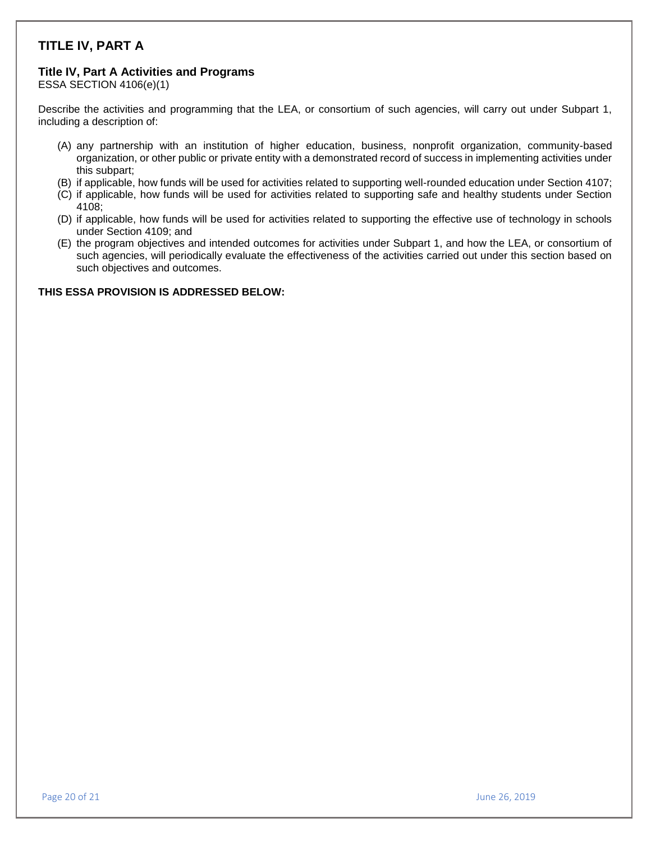# **TITLE IV, PART A**

## **Title IV, Part A Activities and Programs**

ESSA SECTION 4106(e)(1)

Describe the activities and programming that the LEA, or consortium of such agencies, will carry out under Subpart 1, including a description of:

- (A) any partnership with an institution of higher education, business, nonprofit organization, community-based organization, or other public or private entity with a demonstrated record of success in implementing activities under this subpart;
- (B) if applicable, how funds will be used for activities related to supporting well-rounded education under Section 4107;
- (C) if applicable, how funds will be used for activities related to supporting safe and healthy students under Section 4108;
- (D) if applicable, how funds will be used for activities related to supporting the effective use of technology in schools under Section 4109; and
- (E) the program objectives and intended outcomes for activities under Subpart 1, and how the LEA, or consortium of such agencies, will periodically evaluate the effectiveness of the activities carried out under this section based on such objectives and outcomes.